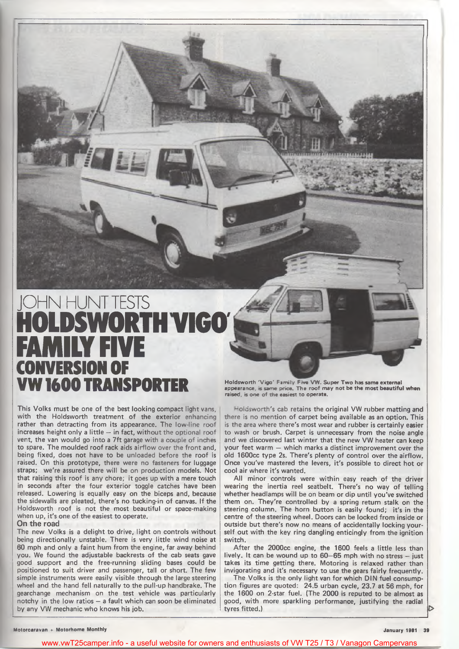# JOHN HUNT TESTS HOLDSWORTH VIGO' FAMILY FIVE **CONVERSION OF**

This Volks must be one of the best looking compact light vans, with the Holdsworth treatment of the exterior enhancing rather than detracting from its appearance. The low-line roof increases height only a little  $-$  in fact, without the optional roof vent, the van would go into a 7ft garage with a couple of inches to spare. The moulded roof rack aids airflow over the front and, being fixed, does not have to be unloaded before the roof is raised. On this prototype, there were no fasteners for luggage straps; we're assured there will be on production models. Not that raising this roof is any chore; it goes up with a mere touch in seconds after the four exterior toggle catches have been released. Lowering is equally easy on the biceps and, because the sidewalls are pleated, there's no tucking-in of canvas. If the Holdsworth roof is not the most beautiful or space-making when up, it's one of the easiest to operate.

### On the road

The new Volks is a delight to drive, light on controls without being directionally unstable. There is very little wind noise at 60 mph and only a faint hum from the engine, far away behind you. We found the adjustable backrests of the cab seats gave good support and the free-running sliding bases could be positioned to suit driver and passenger, tall or short. The few simple instruments were easily visible through the large steering wheel and the hand fell naturally to the pull-up handbrake. The gearchange mechanism on the test vehicle was particularly notchy in the low ratios  $-$  a fault which can soon be eliminated by any VW mechanic who knows his job.

**VW 1600 TRANSPORTER** Holdsworth 'Vigo' Family Five VW. Super Two has same external when  $\frac{1}{\sqrt{2}}$  appearance, is same contragnot be the most beautiful when raised, is one of the easiest to operate.

> Holdsworth's cab retains the original VW rubber matting and there is no mention of carpet being available as an option. This is the area where there's most wear and rubber is certainly easier to wash or brush. Carpet is unnecessary from the noise angle and we discovered last winter that the new VW heater can keep your feet warm — which marks a distinct improvement over the old 1600cc type 2s. There's plenty of control over the airflow. Once you've mastered the levers, it's possible to direct hot or cool air where it's wanted.

> All minor controls were within easy reach of the driver wearing the inertia reel seatbelt. There's no way of telling whether headlamps will be on beam or dip until you've switched them on. They're controlled by a spring return stalk on the steering column. The horn button is easily found; it's in the centre of the steering wheel. Doors can be locked from inside or outside but there's now no means of accidentally locking yourself out with the key ring dangling enticingly from the ignition switch.

> After the 2000cc engine, the 1600 feels a little less than lively. It can be wound up to 60—65 mph with no stress — just takes its time getting there. Motoring is relaxed rather than invigorating and it's necessary to use the gears fairly frequently.

> The Volks is the only light van for which DIN fuel consumption figures are quoted: 24.5 urban cycle, 23.7 at 56 mph, for the 1600 on 2-star fuel. (The 2000 is reputed to be almost as good, with more sparkling performance, justifying the radial tyres fitted.)

www.vwT25camper.info - a useful website for owners and enthusiasts of VW T25 / T3 / Vanagon Campervans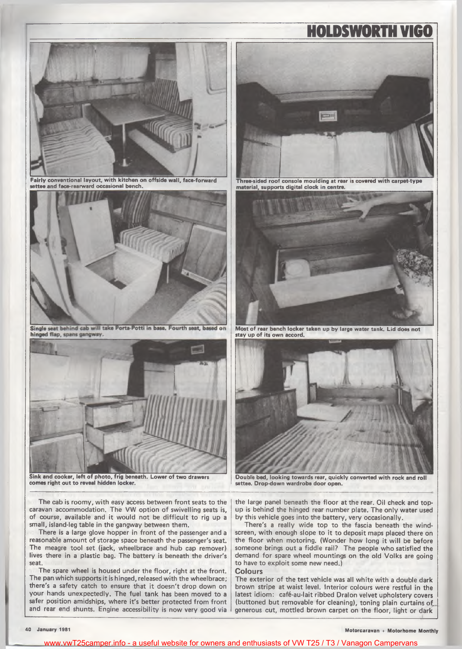

Fairly conventional layout, with kitchen on offside wall, face-forward settee and face-rearward occasional bench.



Single seat behind cab will take Porta-Potti in base. Fourth seat, based on hinged flap, spans gangway.



Sink and cooker, left of photo, frig beneath. Lower of two drawers comes right out to reveal hidden locker.

The cab is roomy, with easy access between front seats to the caravan accommodation. The VW option of swivelling seats is, of course, available and it would not be difficult to rig up a small, island-leg table in the gangway between them.

There is a large glove hopper in front of the passenger and a reasonable amount of storage space beneath the passenger's seat. The meagre tool set (jack, wheelbrace and hub cap remover) lives there in a plastic bag. The battery is beneath the driver's seat.

The spare wheel is housed under the floor, right at the front. The pan which supports it is hinged, released with the wheelbrace; there's a safety catch to ensure that it doesn't drop down on your hands unexpectedly. The fuel tank has been moved to a safer position amidships, where it's better protected from front and rear end shunts. Engine accessibility is now very good via



HOLDSWORTH VIGO

Three-sided roof console moulding at rear is covered with carpet-type material, supports digital clock in centre.



Most of rear bench locker taken up by large water tank. Lid does not stay up of its own accord.



Double bed, looking towards rear, quickly converted with rock and roll settee. Drop-down wardrobe door open.

the large panel beneath the floor at the rear. Oil check and topup is behind the hinged rear number plate. The only water used by this vehicle goes into the battery, very occasionally.

There's a really wide top to the fascia beneath the windscreen, with enough slope to it to deposit maps placed there on the floor when motoring. (Wonder how long it will be before someone brings out a fiddle rail? The people who satisfied the demand for spare wheel mountings on the old Volks are going to have to exploit some new need.)

#### Colours

The exterior of the test vehicle was all white with a double dark brown stripe at waist level. Interior colours were restful in the latest idiom: cafe-au-lait ribbed Dralon velvet upholstery covers (buttoned but removable for cleaning), toning plain curtains of. generous cut, mottled brown carpet on the floor, light or dark

40 January 1981 Motorcaravan + Motorhome Monthly

www.vwT25camper.info - a useful website for owners and enthusiasts of VW T25 / T3 / Vanagon Campervans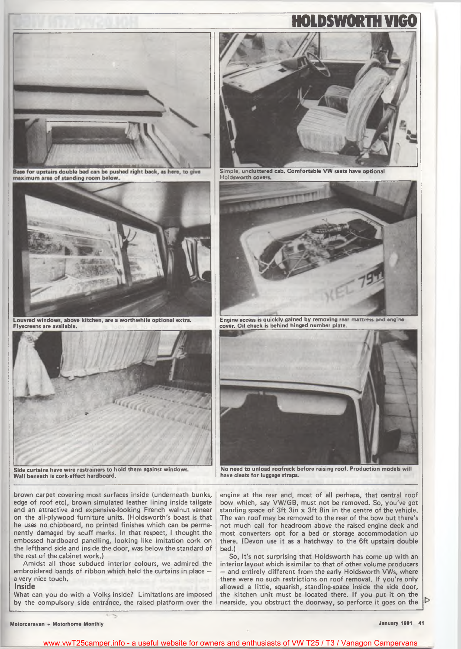

Base for upstairs double bed can be pushed right back, as here, to give maximum area of standing room below.



Louvred windows, above kitchen, are a worthwhile optional extra. Flyscreens are available.



Side curtains have wire restrainers to hold them against windows. Wall beneath is cork-effect hardboard.

brown carpet covering most surfaces inside (underneath bunks, edge of roof etc), brown simulated leather lining inside tailgate and an attractive and expensive-looking French walnut veneer on the all-plywood furniture units. (Holdsworth's boast is that he uses no chipboard, no printed finishes which can be permanently damaged by scuff marks. In that respect, I thought the embossed hardboard panelling, looking like imitation cork on the lefthand side and inside the door, was below the standard of the rest of the cabinet work.)

Amidst all those subdued interior colours, we admired the embroidered bands of ribbon which held the curtains in place a very nice touch.

### Inside

What can you do with a Volks inside? Limitations are imposed by the compulsory side entrance, the raised platform over the



HOLDSWORTH VIGO

Simple, uncluttered cab. Comfortable VW seats have optional Holdsworth covers.



Engine access is quickly gained by removing rear mattress and engine cover. Oil check is behind hinged number plate.



No need to unload roofrack before raising roof. Production models will have cleats for luggage straps.

engine at the rear and, most of all perhaps, that central roof bow which, say VW/GB, must not be removed. So, you've got standing space of 3ft 3in x 3ft 8in in the centre of the vehicle. The van roof may be removed to the rear of the bow but there's not much call for headroom above the raised engine deck and most converters opt for a bed or storage accommodation up there. (Devon use it as a hatchway to the 6ft upstairs double bed.)

So, it's not surprising that Holdsworth has come up with an interior layout which is similar to that of other volume producers — and entirely different from the early Holdsworth VWs, where there were no such restrictions on roof removal. If you're only allowed a little, squarish, standing-space inside the side door, the kitchen unit must be located there. If you put it on the nearside, you obstruct the doorway, so perforce it goes on the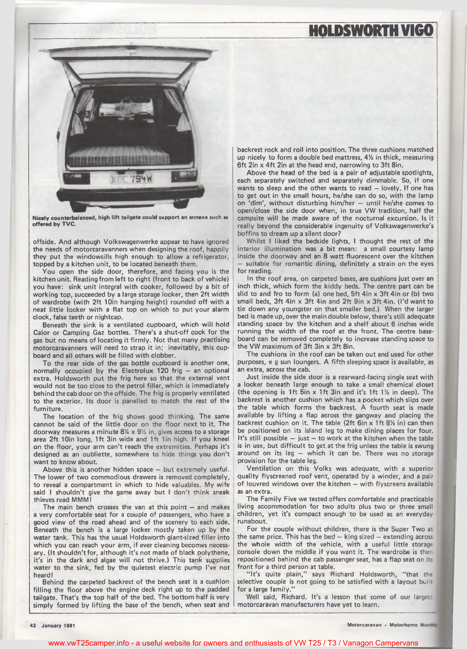## HOLDSWORTH VIGO



Nicely counterbalanced, high lift tailgate could support an annexe such as offered by TVC.

offside. And although Volkswagenwerke appear to have ignored the needs of motorcaravanners when designing the roof, happily they put the windowsills high enough to allow a refrigerator, topped by a kitchen unit, to be located beneath them.

You open the side door, therefore, and facing you is the kitchen unit. Reading from left to right (front to back of vehicle) you have: sink unit integral with cooker, followed by a bit of working top, succeeded by a large storage locker, then 2ft width of wardrobe (with 2ft 10in hanging height) rounded off with a neat little locker with a flat top on which to put your alarm clock, false teeth or nightcap.

Beneath the sink is a ventilated cupboard, which will hold Calor or Camping Gaz bottles. There's a shut-off cock for the gas but no means of locating it firmly. Not that many practising motorcaravanners will need to strap it in; inevitably, this cupboard and all others will be filled with clobber.

To the rear side of the gas bottle cupboard is another one, normally occupied by the Electrolux 120 frig — an optional extra. Holdsworth put the frig here so that the external vent would not be too close to the petrol filler, which is immediately behind the cab door on the offside. The frig is properly ventilated to the exterior. Its door is panelled to match the rest of the furniture.

The location of the frig shows good thinking. The same cannot be said of the little door on the floor next to it. The doorway measures a minute  $8\% \times 9\%$  in, gives access to a storage area 2ft 10in long, 1ft 3in wide and 1ft 1in high. If you kneel on the floor, your arm can't reach the extremities. Perhaps it's designed as an oubliette, somewhere to hide things you don't want to know about.

Above this is another hidden space — but extremely useful. The lower of two commodious drawers is removed completely, to reveal a compartment in which to hide valuables. My wife said I shouldn't give the game away but I don't think sneak thieves read MMM!

The main bench crosses the van at this point — and makes a very comfortable seat for a couple of passengers, who have a good view of the road ahead and of the scenery to each side. Beneath the bench is a large locker mostly taken up by the water tank. This has the usual Holdsworth giant-sized filler into which you can reach your arm, if ever cleaning becomes necessary. (It shouldn't for, although it's not made of black polythene, it's in the dark and algae will not thrive.) This tank supplies water to the sink, fed by the quietest electric pump I've not heard!

Behind the carpeted backrest of the bench seat is a cushion filling the floor above the engine deck right up to the padded tailgate. That's the top half of the bed. The bottom half is very simply formed by lifting the base of the bench, when seat and backrest rock and roll into position. The three cushions matched up nicely to form a double bed mattress,  $4\frac{1}{2}$  in thick, measuring 6ft 2in x 4ft 2in at the head end, narrowing to 3ft 8in.

Above the head of the bed is a pair of adjustable spotlights, each separately switched and separately dimmable. So, if one wants to sleep and the other wants to read — lovely. If one has to get out in the small hours, he/she can do so, with the lamp on 'dim ', without disturbing him/her — until he/she comes to open/close the side door when, in true VW tradition, half the campsite will be made aware of the nocturnal excursion. Is it really beyond the considerable ingenuity of Volkswagenwerke's boffins to dream up a silent door?

Whilst I liked the bedside lights, I thought the rest of the interior illumination was a bit mean: a small courtesy lamp inside the doorway and an 8 watt fluorescent over the kitchen suitable for romantic dining, definitely a strain on the eyes for reading.

In the roof area, on carpeted bases, are cushions just over an inch thick, which form the kiddy beds. The centre part can be slid to and fro to form (a) one bed, 5ft 4in x 3ft 4in or (b) two small beds, 3ft 4in x 3ft 4in and 2ft 9in x 3ft 4in. (I'd want to tie down any youngster on that smaller bed.) When the larger bed is made up, over the main double below, there's still adequate standing space by the kitchen and a shelf about 6 inches wide running the width of the roof at the front. The centre baseboard can be removed completely to increase standing space to the VW maximum of 3ft 3in x 3ft 8in.

The cushions in the roof can be taken out and used for other purposes, e g sun loungers. A fifth sleeping space is available, as an extra, across the cab.

Just inside the side door is a rearward-facing single seat with a locker beneath large enough to take a small chemical closet (the opening is 1ft 5in x 1ft 3in and it's 1ft 1<sup>1</sup>/<sub>2</sub> in deep). The backrest is another cushion which has a pocket which slips over the table which forms the backrest. A fourth seat is made available by lifting a flap across the gangway and placing the backrest cushion on it. The table (2ft 6in x 1ft *8V2* in) can then be positioned on its island leg to make dining places for four. It's still possible — just — to work at the kitchen when the table is in use, but difficult to get at the frig unless the table is swung around on its leg — which it can be. There was no storage provision for the table leg.

Ventilation on this Volks was adequate, with a superior quality flyscreened roof vent, operated by a winder, and a pair of louvred windows over the kitchen — with flyscreens available as an extra.

The Family Five we tested offers comfortable and practicable living accommodation for two adults plus two or three small children, yet it's compact enough to be used as an everyday runabout.

For the couple without children, there is the Super Two at the same price. This has the bed — king sized — extending across the whole width of the vehicle, with a useful little storage console down the middle if you want it. The wardrobe is ther repositioned behind the cab passenger seat, has a flap seat on its front for a third person at table.

"It's quite plain," says Richard Holdsworth, "that the selective couple is not going to be satisfied with a layout built for a large family.'

Well said, Richard. It's a lesson that some of our larges: motorcaravan manufacturers have yet to learn.